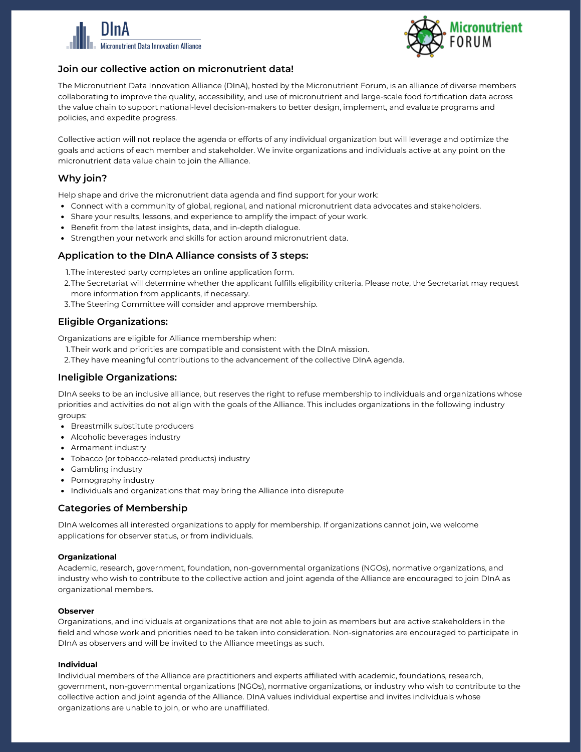



# **Join our collective action on micronutrient data!**

The Micronutrient Data Innovation Alliance (DInA), hosted by the Micronutrient Forum, is an alliance of diverse members collaborating to improve the quality, accessibility, and use of micronutrient and large-scale food fortification data across the value chain to support national-level decision-makers to better design, implement, and evaluate programs and policies, and expedite progress.

Collective action will not replace the agenda or efforts of any individual organization but will leverage and optimize the goals and actions of each member and stakeholder. We invite organizations and individuals active at any point on the micronutrient data value chain to join the Alliance.

# **Why join?**

Help shape and drive the micronutrient data agenda and find support for your work:

- Connect with a community of global, regional, and national micronutrient data advocates and stakeholders.
- Share your results, lessons, and experience to amplify the impact of your work.
- Benefit from the latest insights, data, and in-depth dialogue.
- Strengthen your network and skills for action around micronutrient data.

# **Application to the DInA Alliance consists of 3 steps:**

- 1.The interested party completes an online application form.
- 2.The Secretariat will determine whether the applicant fulfills eligibility criteria. Please note, the Secretariat may request more information from applicants, if necessary.
- 3.The Steering Committee will consider and approve membership.

## **Eligible Organizations:**

Organizations are eligible for Alliance membership when:

- 1.Their work and priorities are compatible and consistent with the DInA mission.
- They have meaningful contributions to the advancement of the collective DInA agenda. 2.

# **Ineligible Organizations:**

DInA seeks to be an inclusive alliance, but reserves the right to refuse membership to individuals and organizations whose priorities and activities do not align with the goals of the Alliance. This includes organizations in the following industry groups:

- Breastmilk substitute producers
- Alcoholic beverages industry
- Armament industry
- Tobacco (or tobacco-related products) industry
- Gambling industry
- Pornography industry
- Individuals and organizations that may bring the Alliance into disrepute

# **Categories of Membership**

DInA welcomes all interested organizations to apply for membership. If organizations cannot join, we welcome applications for observer status, or from individuals.

## **Organizational**

Academic, research, government, foundation, non-governmental organizations (NGOs), normative organizations, and industry who wish to contribute to the collective action and joint agenda of the Alliance are encouraged to join DInA as organizational members.

#### **Observer**

Organizations, and individuals at organizations that are not able to join as members but are active stakeholders in the field and whose work and priorities need to be taken into consideration. Non-signatories are encouraged to participate in DInA as observers and will be invited to the Alliance meetings as such.

## **Individual**

Individual members of the Alliance are practitioners and experts affiliated with academic, foundations, research, government, non-governmental organizations (NGOs), normative organizations, or industry who wish to contribute to the collective action and joint agenda of the Alliance. DInA values individual expertise and invites individuals whose organizations are unable to join, or who are unaffiliated.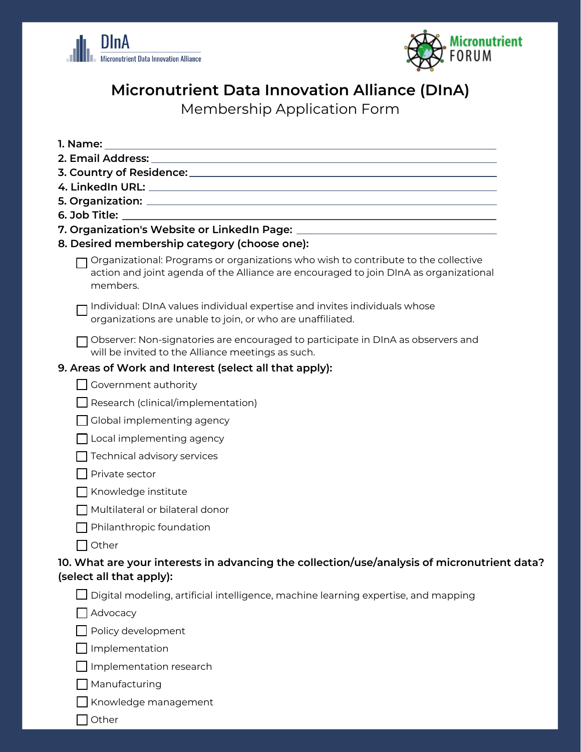



# **Micronutrient Data Innovation Alliance (DInA)**

Membership Application Form

| 8. Desired membership category (choose one):                                                                                                                                            |
|-----------------------------------------------------------------------------------------------------------------------------------------------------------------------------------------|
| Organizational: Programs or organizations who wish to contribute to the collective<br>action and joint agenda of the Alliance are encouraged to join DInA as organizational<br>members. |
| Individual: DInA values individual expertise and invites individuals whose<br>organizations are unable to join, or who are unaffiliated.                                                |
| Observer: Non-signatories are encouraged to participate in DInA as observers and<br>will be invited to the Alliance meetings as such.                                                   |
| 9. Areas of Work and Interest (select all that apply):                                                                                                                                  |
| $\Box$ Government authority                                                                                                                                                             |
| Research (clinical/implementation)                                                                                                                                                      |
| Global implementing agency                                                                                                                                                              |
| Local implementing agency                                                                                                                                                               |
| Technical advisory services                                                                                                                                                             |
| Private sector                                                                                                                                                                          |
| Knowledge institute                                                                                                                                                                     |
| Multilateral or bilateral donor                                                                                                                                                         |
| Philanthropic foundation                                                                                                                                                                |
| Other                                                                                                                                                                                   |
| 10. What are your interests in advancing the collection/use/analysis of micronutrient data?<br>(select all that apply):                                                                 |
| $\Box$ Digital modeling, artificial intelligence, machine learning expertise, and mapping                                                                                               |
| $\Box$ Advocacy                                                                                                                                                                         |
| Policy development                                                                                                                                                                      |
| Implementation                                                                                                                                                                          |
| Implementation research                                                                                                                                                                 |
| Manufacturing                                                                                                                                                                           |
| Knowledge management                                                                                                                                                                    |
| Other                                                                                                                                                                                   |